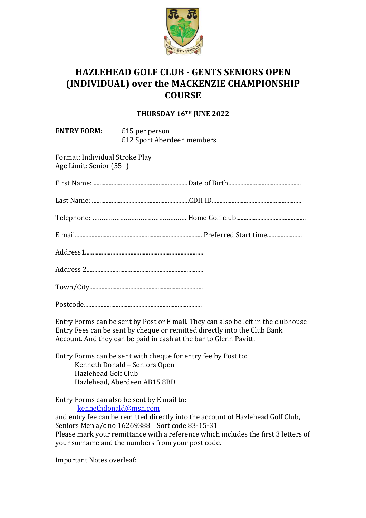

## **HAZLEHEAD GOLF CLUB - GENTS SENIORS OPEN! (INDIVIDUAL) over the MACKENZIE CHAMPIONSHIP COURSE**

## **THURSDAY!16TH!JUNE!2022**

| <b>ENTRY FORM:</b> £15 per person                         | £12 Sport Aberdeen members |
|-----------------------------------------------------------|----------------------------|
| Format: Individual Stroke Play<br>Age Limit: Senior (55+) |                            |
|                                                           |                            |
|                                                           |                            |
|                                                           |                            |
|                                                           |                            |
|                                                           |                            |
|                                                           |                            |
|                                                           |                            |
|                                                           |                            |
|                                                           |                            |

Entry Forms can be sent by Post or E mail. They can also be left in the clubhouse Entry Fees can be sent by cheque or remitted directly into the Club Bank Account. And they can be paid in cash at the bar to Glenn Pavitt.

Entry Forms can be sent with cheque for entry fee by Post to: Kenneth Donald – Seniors Open Hazlehead Golf Club Hazlehead, Aberdeen AB15 8BD

Entry Forms can also be sent by E mail to: kennethdonald@msn.com

and entry fee can be remitted directly into the account of Hazlehead Golf Club, Seniors Men a/c no 16269388 Sort code 83-15-31 Please mark your remittance with a reference which includes the first 3 letters of your surname and the numbers from your post code.

Important Notes overleaf: